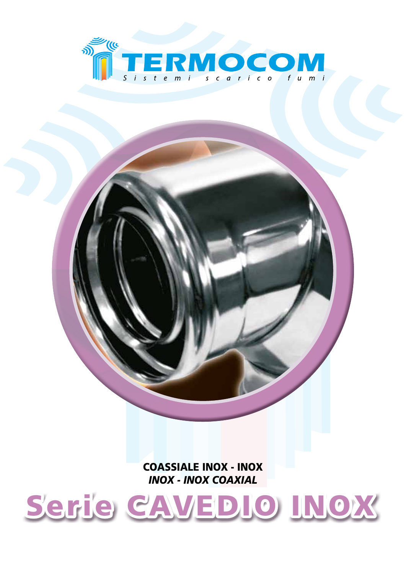

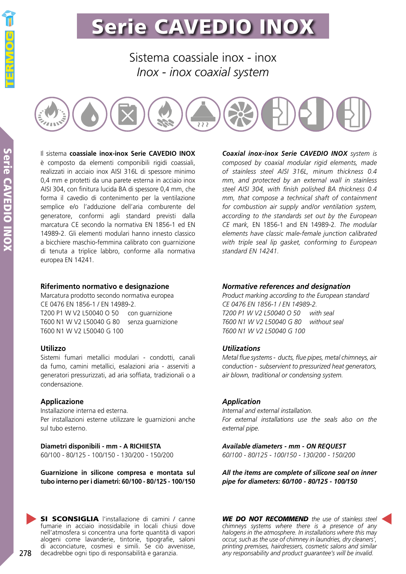Sistema coassiale inox - inox *Inox - inox coaxial system*



Il sistema **coassiale inox-inox Serie CAVEDIO INOX** è composto da elementi componibili rigidi coassiali, realizzati in acciaio inox AISI 316L di spessore minimo 0,4 mm e protetti da una parete esterna in acciaio inox AISI 304, con finitura lucida BA di spessore 0,4 mm, che forma il cavedio di contenimento per la ventilazione semplice e/o l'adduzione dell'aria comburente del generatore, conformi agli standard previsti dalla marcatura CE secondo la normativa EN 1856-1 ed EN 14989-2. Gli elementi modulari hanno innesto classico a bicchiere maschio-femmina calibrato con guarnizione di tenuta a triplice labbro, conforme alla normativa europea EN 14241.

### **Riferimento normativo e designazione**

Marcatura prodotto secondo normativa europea CE 0476 EN 1856-1 / EN 14989-2. T200 P1 W V2 L50040 O 50 con guarnizione T600 N1 W V2 L50040 G 80 senza guarnizione T600 N1 W V2 L50040 G 100

## **Utilizzo**

Sistemi fumari metallici modulari - condotti, canali da fumo, camini metallici, esalazioni aria - asserviti a generatori pressurizzati, ad aria soffiata, tradizionali o a condensazione.

## **Applicazione**

Installazione interna ed esterna. Per installazioni esterne utilizzare le guarnizioni anche sul tubo esterno.

**Diametri disponibili - mm - A RICHIESTA** 60/100 - 80/125 - 100/150 - 130/200 - 150/200

**Guarnizione in silicone compresa e montata sul tubo interno per i diametri: 60/100 - 80/125 - 100/150**

SI SCONSIGLIA l'installazione di camini / canne fumarie in acciaio inossidabile in locali chiusi dove nell'atmosfera si concentra una forte quantità di vapori alogeni come lavanderie, tintorie, tipografie, saloni di acconciature, cosmesi e simili. Se ciò avvenisse, decadrebbe ogni tipo di responsabilità e garanzia.

*Coaxial inox-inox Serie CAVEDIO INOX system is composed by coaxial modular rigid elements, made of stainless steel AISI 316L, minum thickness 0.4 mm, and protected by an external wall in stainless steel AISI 304, with finish polished BA thickness 0.4 mm, that compose a technical shaft of containment for combustion air supply and/or ventilation system, according to the standards set out by the European CE mark,* EN 1856-1 and EN 14989-2*. The modular elements have classic male-female junction calibrated with triple seal lip gasket, conforming to European standard EN 14241.*

## *Normative references and designation*

*Product marking according to the European standard CE 0476 EN 1856-1 / EN 14989-2. T200 P1 W V2 L50040 O 50 with seal T600 N1 W V2 L50040 G 80 without seal T600 N1 W V2 L50040 G 100*

## *Utilizations*

*Metal flue systems - ducts, flue pipes, metal chimneys, air conduction - subservient to pressurized heat generators, air blown, traditional or condensing system.*

## *Application*

*Internal and external installation. For external installations use the seals also on the external pipe.*

*Available diameters - mm - ON REQUEST 60/100 - 80/125 - 100/150 - 130/200 - 150/200*

*All the items are complete of silicone seal on inner pipe for diameters: 60/100 - 80/125 - 100/150*

*WE DO NOT RECOMMEND the use of stainless steel chimneys systems where there is a presence of any halogens in the atmosphere. In installations where this may occur, such as the use of chimney in laundries, dry cleaners', printing premises, hairdressers, cosmetic salons and similar any responsability and product guarantee's will be invalid.*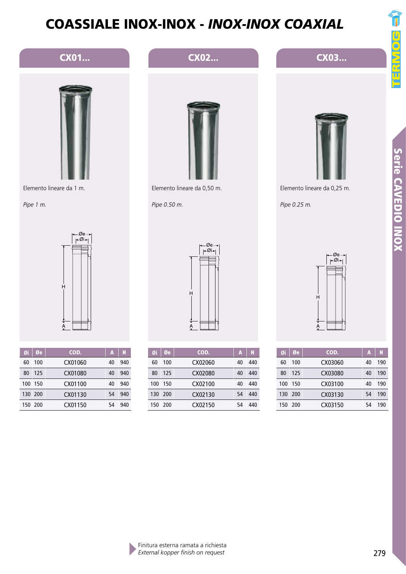CX01... CX02... CX03...







Elemento lineare da 0,25 m.

*Pipe 0.25 m.*



*Pipe 1 m.*

| Øi  | Øe      | COD.    | A  | н   |
|-----|---------|---------|----|-----|
| 60  | 100     | CX01060 | 40 | 940 |
| 80  | 125     | CX01080 | 40 | 940 |
| 100 | -150    | CX01100 | 40 | 940 |
|     | 130 200 | CX01130 | 54 | 940 |
|     | 150 200 | CX01150 | 54 | 940 |



| Øi  | Øe   | COD.    | А  | H   |
|-----|------|---------|----|-----|
| 60  | 100  | CX02060 | 40 | 440 |
| 80  | 125  | CX02080 | 40 | 440 |
| 100 | -150 | CX02100 | 40 | 440 |
| 130 | 200  | CX02130 | 54 | 440 |
| 150 | 200  | CX02150 | 54 | 440 |



| Øi  | Øe  | COD.    | А  | H   |
|-----|-----|---------|----|-----|
| 60  | 100 | CX03060 | 40 | 190 |
| 80  | 125 | CX03080 | 40 | 190 |
| 100 | 150 | CX03100 | 40 | 190 |
| 130 | 200 | CX03130 | 54 | 190 |
| 150 | 200 | CX03150 | 54 | 190 |

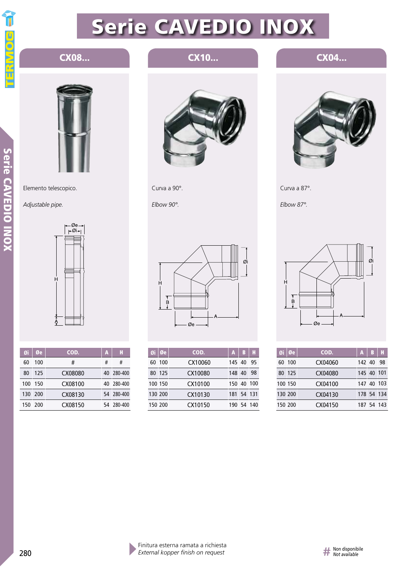

## CX08... **CX10...**

# Serie CAVEDIO INOX Serie CAVEDIO INOX



Elemento telescopico.

*Adjustable pipe.*



| Øi  | Øe      | COD.    | А | H          |
|-----|---------|---------|---|------------|
| 60  | 100     | #       | # | #          |
| 80  | 125     | CX08080 |   | 40 280-400 |
| 100 | - 150   | CX08100 |   | 40 280-400 |
|     | 130 200 | CX08130 |   | 54 280-400 |
| 150 | - 200   | CX08150 |   | 54 280-400 |



Curva a 90°.

*Elbow 90°.*



| Øi | l Øe    | COD.    | A          | B          |    |
|----|---------|---------|------------|------------|----|
| 60 | -100    | CX10060 | 145 40     |            | 95 |
|    | 80 125  | CX10080 | 148 40     |            | 98 |
|    | 100 150 | CX10100 | 150 40 100 |            |    |
|    | 130 200 | CX10130 | 181 54 131 |            |    |
|    | 150 200 | CX10150 |            | 190 54 140 |    |

## CX04...



Curva a 87°.

*Elbow 87°.*



|         | Øi   Øe | COD.    | A          | B          | H  |
|---------|---------|---------|------------|------------|----|
| 60      | -100    | CX04060 | 142 40     |            | 98 |
|         | 80 125  | CX04080 | 145 40 101 |            |    |
| 100 150 |         | CX04100 | 147 40 103 |            |    |
| 130 200 |         | CX04130 | 178 54 134 |            |    |
| 150 200 |         | CX04150 |            | 187 54 143 |    |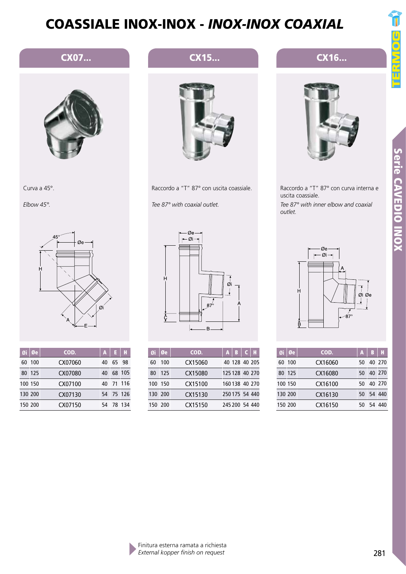# Serie CAVEDIO INOX Serie CAVEDIO INOX



|         | Øi   Øe | COD.    | A  | в | н      |
|---------|---------|---------|----|---|--------|
|         | 60 100  | CX16060 | 50 |   | 40 270 |
|         | 80 125  | CX16080 | 50 |   | 40 270 |
| 100 150 |         | CX16100 | 50 |   | 40 270 |
| 130 200 |         | CX16130 | 50 |   | 54 440 |
| 150 200 |         | CX16150 | 50 |   | 54 440 |

Raccordo a T 45° CX16... *45° Tee duct*

Raccordo a "T" 87° con curva interna e uscita coassiale. *Tee 87° with inner elbow and coaxial outlet.*



Curva a 45°.

*Elbow 45°.*

|         | $Q_i   Q_e$ | COD.    | A  | E.        | н |
|---------|-------------|---------|----|-----------|---|
| 60      | -100        | CX07060 | 40 | 6598      |   |
| 80      | 125         | CX07080 | 40 | 68 105    |   |
| 100 150 |             | CX07100 | 40 | 71 116    |   |
| 130 200 |             | CX07130 |    | 54 75 126 |   |
| 150 200 |             | CX07150 | 54 | 78 134    |   |

## CX07... **CX07... CX15...**



*Tee 87° with coaxial outlet.*

Raccordo a "T" 87° con uscita coassiale.<br>
Tee 87° with coaxial outlet.<br>  $\begin{array}{c|c}\n\hline\n\text{F}-\emptyset & \text{F} \\
\hline\n\end{array}$ Øi Øe │ COD. │A │B │C │H

| 60      | 100 | CX15060 | 40 128 40 205  |                |
|---------|-----|---------|----------------|----------------|
| 80      | 125 | CX15080 |                | 125 128 40 270 |
| 100 150 |     | CX15100 |                | 160 138 40 270 |
| 130 200 |     | CX15130 | 250 175 54 440 |                |
| 150 200 |     | CX15150 | 245 200 54 440 |                |

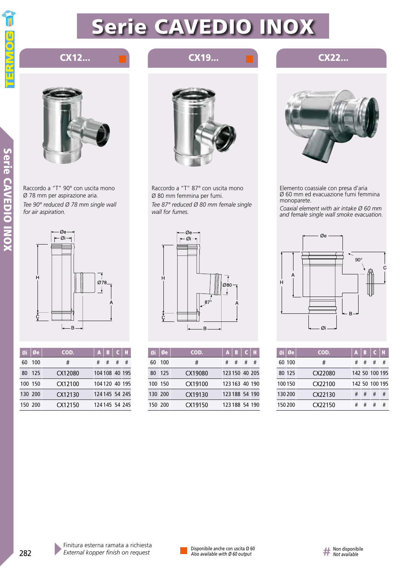

Serie CAVEDIO INO)

## Serie CAVEDIO INOX

## CX12... **EX22...** CX19... **CX19... CX22...**



Raccordo a "T" 90° con uscita mono Ø 78 mm per aspirazione aria. *Tee 90° reduced Ø 78 mm single wall for air aspiration.*



| Øi      | 0e  | COD.    | A | В              | c |                |
|---------|-----|---------|---|----------------|---|----------------|
| 60      | 100 | #       | # | #              | # | #              |
| 80      | 125 | CX12080 |   |                |   | 104 108 40 195 |
| 100 150 |     | CX12100 |   |                |   | 104 120 40 195 |
| 130 200 |     | CX12130 |   |                |   | 124 145 54 245 |
| 150 200 |     | CX12150 |   | 124 145 54 245 |   |                |



Raccordo a "T" 87° con uscita mono Ø 80 mm femmina per fumi. *Tee 87° reduced Ø 80 mm female single wall for fumes.*



| Øi      | Øe  | COD.    | A | В              | .a |   |
|---------|-----|---------|---|----------------|----|---|
| 60      | 100 | #       | # | #              | #  | # |
| 80      | 125 | CX19080 |   | 123 150 40 205 |    |   |
| 100 150 |     | CX19100 |   | 123 163 40 190 |    |   |
| 130 200 |     | CX19130 |   | 123 188 54 190 |    |   |
| 150 200 |     | CX19150 |   | 123 188 54 190 |    |   |



Elemento coassiale con presa d'aria Ø 60 mm ed evacuazione fumi femmina monoparete.

*Coaxial element with air intake Ø 60 mm and female single wall smoke evacuation.*



| Øi   Øe | COD.    | A | В |                | Н |
|---------|---------|---|---|----------------|---|
| 60 100  | #       | # | # | #              | # |
| 80 125  | CX22080 |   |   | 142 50 100 195 |   |
| 100150  | CX22100 |   |   | 142 50 100 195 |   |
| 130 200 | CX22130 | # | # | #              | # |
| 150200  | CX22150 | # | # | #              | # |

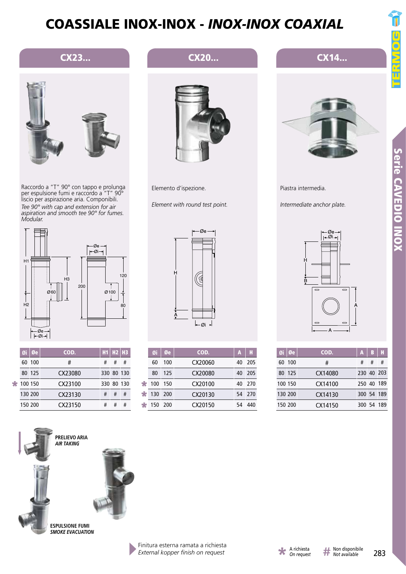

Raccordo a "T" 90° con tappo e prolunga per espulsione fumi e raccordo a "T" 90° liscio per aspirazione aria. Componibili. *Tee 90° with cap and extension for air aspiration and smooth tee 90° for fumes. Modular.*



|   |         | Øi   Øe | COD.    |            | $H1$ $H2$ $H3$ |   |
|---|---------|---------|---------|------------|----------------|---|
|   |         | 60 100  | #       | #          | #              | # |
|   |         | 80 125  | CX23080 | 330 80 130 |                |   |
| ÷ | 100 150 |         | CX23100 | 330 80 130 |                |   |
|   | 130 200 |         | CX23130 | #          | #              | # |
|   | 150 200 |         | CX23150 |            | #              | # |





**ESPULSIONE FUMI** *SMOKE EVACUATION*

## CX23... CX20...



Elemento d'ispezione.

*Element with round test point.*



|   | Øi      | Øe    | COD.    | А  | н      |
|---|---------|-------|---------|----|--------|
|   | 60      | 100   | CX20060 | 40 | 205    |
|   | 80      | 125   | CX20080 | 40 | 205    |
| ∗ | 100     | - 150 | CX20100 | 40 | 270    |
| ∗ | 130 200 |       | CX20130 |    | 54 270 |
| ÷ | 150     | -200  | CX20150 |    | 440    |





Piastra intermedia.

*Intermediate anchor plate.*



| Øi | l Øe    | COD.    | A          | B | н          |
|----|---------|---------|------------|---|------------|
| 60 | -100    | #       | #          | # | #          |
|    | 80 125  | CX14080 | 230 40 203 |   |            |
|    | 100 150 | CX14100 | 250 40 189 |   |            |
|    | 130 200 | CX14130 |            |   | 300 54 189 |
|    | 150 200 | CX14150 |            |   | 300 54 189 |

*External kopper finish on request*



Ī

īī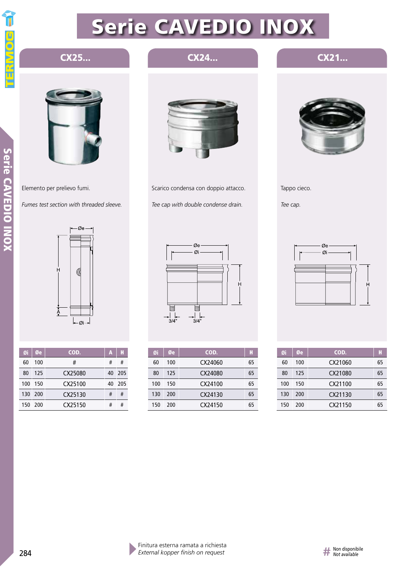

## CX25... CX24...



Elemento per prelievo fumi.

*Fumes test section with threaded sleeve.*



| Øi  | Øe      | COD.    | A  | н     |
|-----|---------|---------|----|-------|
| 60  | 100     | #       | #  | #     |
| 80  | 125     | CX25080 | 40 | - 205 |
| 100 | 150     | CX25100 | 40 | 205   |
|     | 130 200 | CX25130 | #  | #     |
|     | 150 200 | CX25150 | #  | #     |



Scarico condensa con doppio attacco. *Tee cap with double condense drain.*



CX21...

Tappo cieco.

*Tee cap.*



| Øi  | Øe  | COD.    | H  |
|-----|-----|---------|----|
| 60  | 100 | CX24060 | 65 |
| 80  | 125 | CX24080 | 65 |
| 100 | 150 | CX24100 | 65 |
| 130 | 200 | CX24130 | 65 |
| 150 | 200 | CX24150 | 65 |



| Øi  | Øe  | COD.    | H  |
|-----|-----|---------|----|
| 60  | 100 | CX21060 | 65 |
| 80  | 125 | CX21080 | 65 |
| 100 | 150 | CX21100 | 65 |
| 130 | 200 | CX21130 | 65 |
| 150 | 200 | CX21150 | 65 |

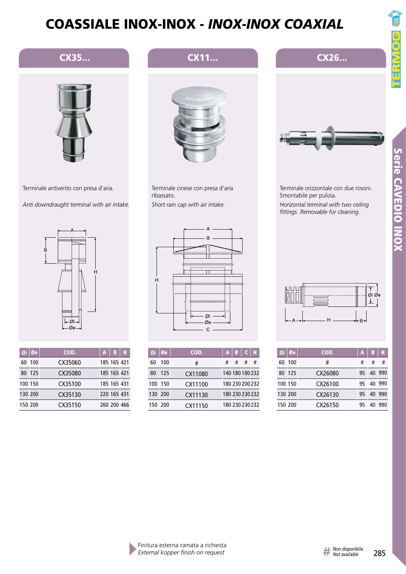





Terminale antivento con presa d'aria.

*Anti downdraught terminal with air intake.*



|         | Øi   Øe | COD.    | A | B           |  |
|---------|---------|---------|---|-------------|--|
|         | 60 100  | CX35060 |   | 185 165 421 |  |
|         | 80 125  | CX35080 |   | 185 165 421 |  |
|         | 100 150 | CX35100 |   | 185 165 431 |  |
| 130 200 |         | CX35130 |   | 220 165 431 |  |
| 150 200 |         | CX35150 |   | 260 200 466 |  |

## $\overline{A}$  $\overline{B}$  $\mathbf{\overline{u}}$  $H$ Øi Øe  $\mathbf C$

Terminale cinese con presa d'aria

*Short rain cap with air intake.*

ribassato.

| Øi  | Øe      | COD.    | A               | В |                 |   |
|-----|---------|---------|-----------------|---|-----------------|---|
| 60  | 100     | #       | #               | # | #               | # |
| 80  | 125     | CX11080 | 140 180 180 232 |   |                 |   |
| 100 | - 150   | CX11100 | 180 230 200 232 |   |                 |   |
|     | 130 200 | CX11130 |                 |   | 180 230 230 232 |   |
|     | 150 200 | CX11150 |                 |   | 180 230 230 232 |   |



| Øi      | Øe     | COD.    | A  | B  | н      |
|---------|--------|---------|----|----|--------|
| 60      | 100    | #       | #  | #  | #      |
|         | 80 125 | CX26080 | 95 |    | 40 990 |
| 100 150 |        | CX26100 | 95 |    | 40 990 |
| 130 200 |        | CX26130 | 95 |    | 40 990 |
| 150 200 |        | CX26150 |    | 40 | 990    |

## CX11... **CX26...**



Terminale orizzontale con due rosoni. Smontabile per pulizia. *Horizontal terminal with two ceiling fittings. Removable for cleaning.*

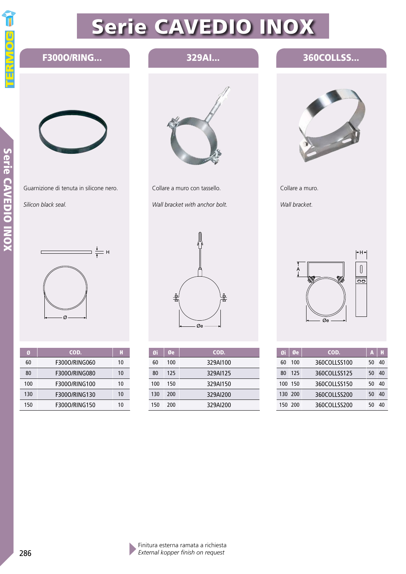

Serie CAVEDIO INO)

### 329AI... 360COLLSS... Raccordo a T 45° *45° Tee duct* F300O/RING... Guarnizione di tenuta in silicone nero. Collare a muro con tassello. Collare a muro. *Silicon black seal. Wall bracket with anchor bolt. Wall bracket.*  $\frac{1}{\sqrt{1-\frac{1}{2}}}\frac{1}{\sqrt{1-\frac{1}{2}}}\frac{1}{\sqrt{1-\frac{1}{2}}}\frac{1}{\sqrt{1-\frac{1}{2}}}\frac{1}{\sqrt{1-\frac{1}{2}}}\frac{1}{\sqrt{1-\frac{1}{2}}}\frac{1}{\sqrt{1-\frac{1}{2}}}\frac{1}{\sqrt{1-\frac{1}{2}}}\frac{1}{\sqrt{1-\frac{1}{2}}}\frac{1}{\sqrt{1-\frac{1}{2}}}\frac{1}{\sqrt{1-\frac{1}{2}}}\frac{1}{\sqrt{1-\frac{1}{2}}}\frac{1}{\sqrt{1-\frac{1}{2}}}\frac{1}{\sqrt{1-\frac{$  $\Box$  $[] \centering \includegraphics[width=0.47\textwidth]{images/TrDiM-Architecture.png} \caption{The 3D (top) and the 4D (bottom) of the 3D (bottom) and the 4D (bottom) of the 3D (bottom) and the 4D (bottom) of the 3D (bottom) and the 4D (bottom) of the 3D (bottom).} \label{TrDiM-Architecture}$  $\overline{\bullet}$ 査 뷰  $\alpha$  $\varnothing$ e Øe COD. Øi Øe  $\emptyset$ i  $\emptyset$ e cod.  $\bigcup$  A  $\bigcup$  H Øe A Ø | COD. H 60 100 329AI100 60 100 360COLLSS100 50 40 60 F300O/RING060 10 80 125 329AI125 360COLLSS125 80 125 40 50

329AI150 329AI200 329AI200 360COLLSS150 360COLLSS200 360COLLSS200

|     |               | .  |
|-----|---------------|----|
| 60  | F3000/RING060 | 10 |
| 80  | F3000/RING080 | 10 |
| 100 | F3000/RING100 | 10 |
| 130 | F3000/RING130 | 10 |
| 150 | F3000/RING150 | 10 |

100 130 150

150 200 200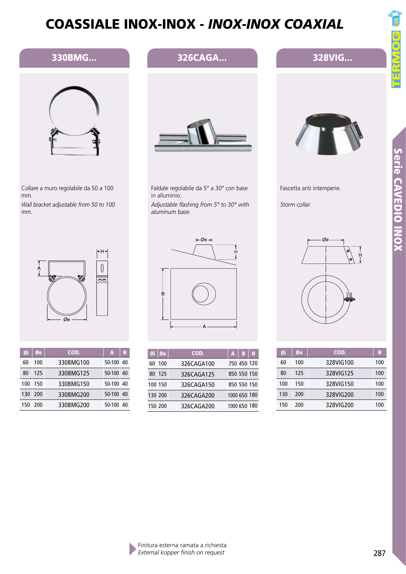

## 330BMG...



Collare a muro regolabile da 50 a 100 mm.

*Wall bracket adjustable from 50 to 100 mm.*



| Øi  | Øe   | COD.      | A         | Н  |
|-----|------|-----------|-----------|----|
| 60  | 100  | 330BMG100 | 50-100 40 |    |
| 80  | 125  | 330BMG125 | 50-100 40 |    |
| 100 | -150 | 330BMG150 | 50-100 40 |    |
| 130 | -200 | 330BMG200 | 50-100    | 40 |
| 150 | -200 | 330BMG200 | 50-100    | 40 |



326CAGA...

Faldale regolabile da 5° a 30° con base in alluminio.

*Adjustable flashing from 5° to 30° with aluminum base.*



|         | Øi∣Øe  | COD.       | A | B            |  |
|---------|--------|------------|---|--------------|--|
| 60      | - 100  | 326CAGA100 |   | 750 450 120  |  |
|         | 80 125 | 326CAGA125 |   | 850 550 150  |  |
| 100 150 |        | 326CAGA150 |   | 850 550 150  |  |
| 130 200 |        | 326CAGA200 |   | 1000 650 180 |  |
| 150 200 |        | 326CAGA200 |   | 1000 650 180 |  |



Fascetta anti intemperie.

328VIG...

*Storm collar.*

| Øi  | Øe  | COD.      | H   |
|-----|-----|-----------|-----|
| 60  | 100 | 328VIG100 | 100 |
| 80  | 125 | 328VIG125 | 100 |
| 100 | 150 | 328VIG150 | 100 |
| 130 | 200 | 328VIG200 | 100 |
| 150 | 200 | 328VIG200 | 100 |